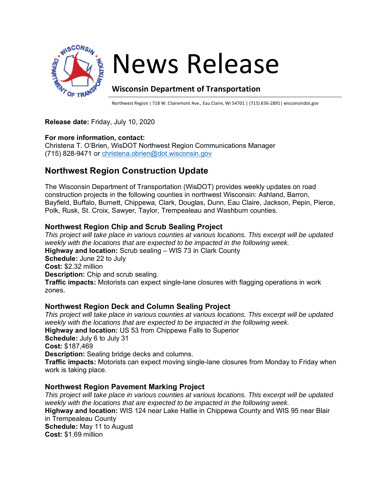

# News Release

# **Wisconsin Department of Transportation**

Northwest Region | 718 W. Clairemont Ave., Eau Claire, WI 54701 | (715) 836-2891| wisconsindot.gov

#### **Release date:** Friday, July 10, 2020

#### **For more information, contact:**

Christena T. O'Brien, WisDOT Northwest Region Communications Manager (715) 828-9471 or christena.obrien@dot.wisconsin.gov

# **Northwest Region Construction Update**

The Wisconsin Department of Transportation (WisDOT) provides weekly updates on road construction projects in the following counties in northwest Wisconsin: Ashland, Barron, Bayfield, Buffalo, Burnett, Chippewa, Clark, Douglas, Dunn, Eau Claire, Jackson, Pepin, Pierce, Polk, Rusk, St. Croix, Sawyer, Taylor, Trempealeau and Washburn counties.

#### **Northwest Region Chip and Scrub Sealing Project**

*This project will take place in various counties at various locations. This excerpt will be updated weekly with the locations that are expected to be impacted in the following week.* **Highway and location:** Scrub sealing – WIS 73 in Clark County **Schedule:** June 22 to July **Cost:** \$2.32 million **Description:** Chip and scrub sealing. **Traffic impacts:** Motorists can expect single-lane closures with flagging operations in work zones.

# **Northwest Region Deck and Column Sealing Project**

*This project will take place in various counties at various locations. This excerpt will be updated weekly with the locations that are expected to be impacted in the following week.* **Highway and location:** US 53 from Chippewa Falls to Superior **Schedule:** July 6 to July 31 **Cost:** \$187,469 **Description:** Sealing bridge decks and columns. **Traffic impacts:** Motorists can expect moving single-lane closures from Monday to Friday when work is taking place.

#### **Northwest Region Pavement Marking Project**

*This project will take place in various counties at various locations. This excerpt will be updated weekly with the locations that are expected to be impacted in the following week.* **Highway and location:** WIS 124 near Lake Hallie in Chippewa County and WIS 95 near Blair in Trempealeau County **Schedule:** May 11 to August **Cost:** \$1.69 million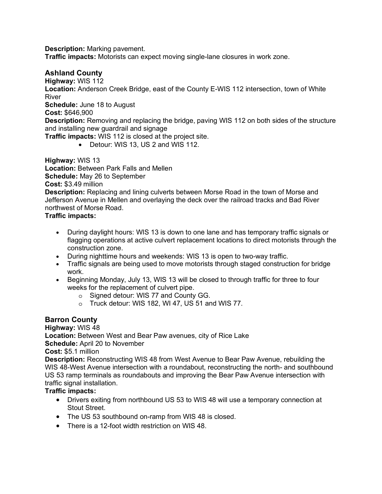**Description:** Marking pavement.

**Traffic impacts:** Motorists can expect moving single-lane closures in work zone.

### **Ashland County**

**Highway:** WIS 112

**Location:** Anderson Creek Bridge, east of the County E-WIS 112 intersection, town of White River

**Schedule:** June 18 to August

**Cost:** \$646,900

**Description:** Removing and replacing the bridge, paving WIS 112 on both sides of the structure and installing new guardrail and signage

**Traffic impacts:** WIS 112 is closed at the project site.

• Detour: WIS 13, US 2 and WIS 112.

**Highway:** WIS 13

**Location:** Between Park Falls and Mellen

**Schedule:** May 26 to September

#### **Cost:** \$3.49 million

**Description:** Replacing and lining culverts between Morse Road in the town of Morse and Jefferson Avenue in Mellen and overlaying the deck over the railroad tracks and Bad River northwest of Morse Road.

**Traffic impacts:**

- During daylight hours: WIS 13 is down to one lane and has temporary traffic signals or flagging operations at active culvert replacement locations to direct motorists through the construction zone.
- During nighttime hours and weekends: WIS 13 is open to two-way traffic.
- Traffic signals are being used to move motorists through staged construction for bridge work.
- Beginning Monday, July 13, WIS 13 will be closed to through traffic for three to four weeks for the replacement of culvert pipe.
	- o Signed detour: WIS 77 and County GG.
	- o Truck detour: WIS 182, WI 47, US 51 and WIS 77.

#### **Barron County**

**Highway:** WIS 48 **Location:** Between West and Bear Paw avenues, city of Rice Lake **Schedule:** April 20 to November

**Cost:** \$5.1 million

**Description:** Reconstructing WIS 48 from West Avenue to Bear Paw Avenue, rebuilding the WIS 48-West Avenue intersection with a roundabout, reconstructing the north- and southbound US 53 ramp terminals as roundabouts and improving the Bear Paw Avenue intersection with traffic signal installation.

#### **Traffic impacts:**

- Drivers exiting from northbound US 53 to WIS 48 will use a temporary connection at Stout Street.
- The US 53 southbound on-ramp from WIS 48 is closed.
- There is a 12-foot width restriction on WIS 48.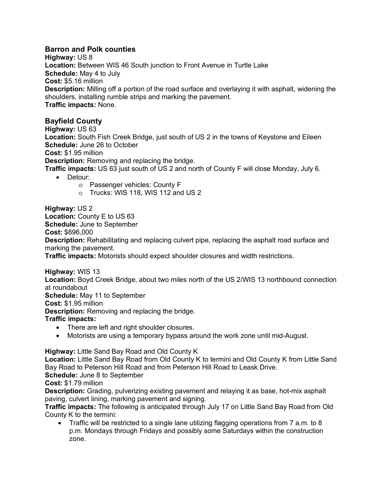# **Barron and Polk counties**

**Highway:** US 8 **Location:** Between WIS 46 South junction to Front Avenue in Turtle Lake **Schedule:** May 4 to July **Cost:** \$5.16 million **Description:** Milling off a portion of the road surface and overlaying it with asphalt, widening the shoulders, installing rumble strips and marking the pavement. **Traffic impacts:** None.

# **Bayfield County**

**Highway:** US 63 **Location:** South Fish Creek Bridge, just south of US 2 in the towns of Keystone and Eileen **Schedule:** June 26 to October **Cost:** \$1.95 million **Description:** Removing and replacing the bridge. **Traffic impacts:** US 63 just south of US 2 and north of County F will close Monday, July 6.

- Detour:
	- o Passenger vehicles: County F
	- o Trucks: WIS 118, WIS 112 and US 2

**Highway:** US 2 **Location:** County E to US 63 **Schedule:** June to September **Cost:** \$696,000 **Description:** Rehabilitating and replacing culvert pipe, replacing the asphalt road surface and marking the pavement.

**Traffic impacts:** Motorists should expect shoulder closures and width restrictions.

**Highway:** WIS 13

**Location:** Boyd Creek Bridge, about two miles north of the US 2/WIS 13 northbound connection at roundabout

**Schedule:** May 11 to September

**Cost:** \$1.95 million

**Description:** Removing and replacing the bridge.

**Traffic impacts:**

- There are left and right shoulder closures.
- Motorists are using a temporary bypass around the work zone until mid-August.

**Highway:** Little Sand Bay Road and Old County K

**Location:** Little Sand Bay Road from Old County K to termini and Old County K from Little Sand Bay Road to Peterson Hill Road and from Peterson Hill Road to Leask Drive.

**Schedule:** June 8 to September

**Cost:** \$1.79 million

**Description:** Grading, pulverizing existing pavement and relaying it as base, hot-mix asphalt paving, culvert lining, marking pavement and signing.

**Traffic impacts:** The following is anticipated through July 17 on Little Sand Bay Road from Old County K to the termini:

• Traffic will be restricted to a single lane utilizing flagging operations from 7 a.m. to 8 p.m. Mondays through Fridays and possibly some Saturdays within the construction zone.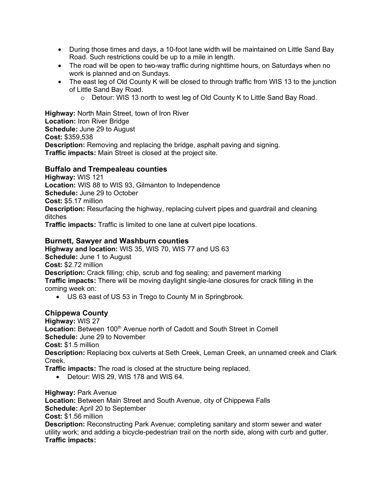- During those times and days, a 10-foot lane width will be maintained on Little Sand Bay Road. Such restrictions could be up to a mile in length.
- The road will be open to two-way traffic during nighttime hours, on Saturdays when no work is planned and on Sundays.
- The east leg of Old County K will be closed to through traffic from WIS 13 to the junction of Little Sand Bay Road.
	- o Detour: WIS 13 north to west leg of Old County K to Little Sand Bay Road.

**Highway:** North Main Street, town of Iron River **Location:** Iron River Bridge **Schedule:** June 29 to August **Cost:** \$359,538 **Description:** Removing and replacing the bridge, asphalt paving and signing. **Traffic impacts:** Main Street is closed at the project site.

#### **Buffalo and Trempealeau counties**

**Highway:** WIS 121 **Location:** WIS 88 to WIS 93, Gilmanton to Independence **Schedule:** June 29 to October **Cost:** \$5.17 million **Description:** Resurfacing the highway, replacing culvert pipes and guardrail and cleaning ditches

**Traffic impacts:** Traffic is limited to one lane at culvert pipe locations.

#### **Burnett, Sawyer and Washburn counties**

**Highway and location:** WIS 35, WIS 70, WIS 77 and US 63 **Schedule:** June 1 to August **Cost:** \$2.72 million **Description:** Crack filling; chip, scrub and fog sealing; and pavement marking **Traffic impacts:** There will be moving daylight single-lane closures for crack filling in the coming week on:

• US 63 east of US 53 in Trego to County M in Springbrook.

#### **Chippewa County**

**Highway:** WIS 27 **Location:** Between 100<sup>th</sup> Avenue north of Cadott and South Street in Cornell **Schedule:** June 29 to November **Cost:** \$1.5 million **Description:** Replacing box culverts at Seth Creek, Leman Creek, an unnamed creek and Clark Creek.

**Traffic impacts:** The road is closed at the structure being replaced.

• Detour: WIS 29, WIS 178 and WIS 64.

**Highway:** Park Avenue

**Location:** Between Main Street and South Avenue, city of Chippewa Falls **Schedule:** April 20 to September

**Cost:** \$1.56 million

**Description:** Reconstructing Park Avenue; completing sanitary and storm sewer and water utility work; and adding a bicycle-pedestrian trail on the north side, along with curb and gutter. **Traffic impacts:**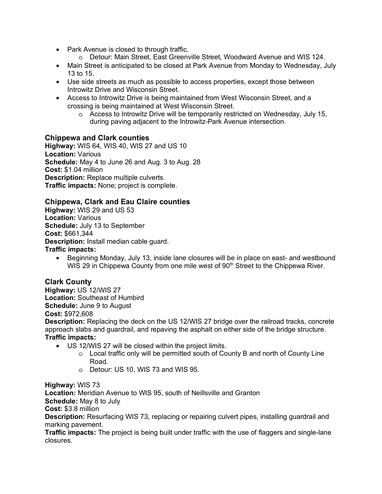- Park Avenue is closed to through traffic.
	- o Detour: Main Street, East Greenville Street, Woodward Avenue and WIS 124.
- Main Street is anticipated to be closed at Park Avenue from Monday to Wednesday, July 13 to 15.
- Use side streets as much as possible to access properties, except those between Introwitz Drive and Wisconsin Street.
- Access to Introwitz Drive is being maintained from West Wisconsin Street, and a crossing is being maintained at West Wisconsin Street.
	- $\circ$  Access to Introwitz Drive will be temporarily restricted on Wednesday, July 15, during paving adjacent to the Introwitz-Park Avenue intersection.

#### **Chippewa and Clark counties**

**Highway:** WIS 64, WIS 40, WIS 27 and US 10 **Location:** Various **Schedule:** May 4 to June 26 and Aug. 3 to Aug. 28 **Cost:** \$1.04 million **Description:** Replace multiple culverts. **Traffic impacts:** None; project is complete.

#### **Chippewa, Clark and Eau Claire counties**

**Highway:** WIS 29 and US 53 **Location:** Various **Schedule:** July 13 to September **Cost:** \$661,344 **Description:** Install median cable guard. **Traffic impacts:**

• Beginning Monday, July 13, inside lane closures will be in place on east- and westbound WIS 29 in Chippewa County from one mile west of  $90<sup>th</sup>$  Street to the Chippewa River.

#### **Clark County**

**Highway:** US 12/WIS 27 **Location:** Southeast of Humbird **Schedule:** June 9 to August **Cost:** \$972,608

**Description:** Replacing the deck on the US 12/WIS 27 bridge over the railroad tracks, concrete approach slabs and guardrail, and repaving the asphalt on either side of the bridge structure. **Traffic impacts:**

- US 12/WIS 27 will be closed within the project limits.
	- $\circ$  Local traffic only will be permitted south of County B and north of County Line Road.
	- o Detour: US 10, WIS 73 and WIS 95.

**Highway:** WIS 73

**Location:** Meridian Avenue to WIS 95, south of Neillsville and Granton

**Schedule:** May 8 to July

**Cost:** \$3.8 million

**Description:** Resurfacing WIS 73, replacing or repairing culvert pipes, installing guardrail and marking pavement.

**Traffic impacts:** The project is being built under traffic with the use of flaggers and single-lane closures.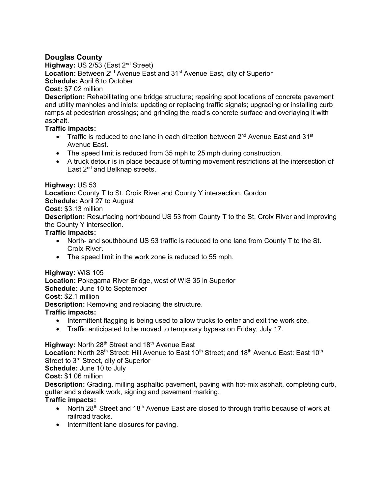# **Douglas County**

**Highway: US 2/53 (East 2<sup>nd</sup> Street)** Location: Between 2<sup>nd</sup> Avenue East and 31<sup>st</sup> Avenue East, city of Superior **Schedule:** April 6 to October **Cost:** \$7.02 million

#### **Description:** Rehabilitating one bridge structure; repairing spot locations of concrete pavement and utility manholes and inlets; updating or replacing traffic signals; upgrading or installing curb ramps at pedestrian crossings; and grinding the road's concrete surface and overlaying it with asphalt.

# **Traffic impacts:**

- Traffic is reduced to one lane in each direction between 2<sup>nd</sup> Avenue East and 31<sup>st</sup> Avenue East.
- The speed limit is reduced from 35 mph to 25 mph during construction.
- A truck detour is in place because of turning movement restrictions at the intersection of East 2<sup>nd</sup> and Belknap streets.

#### **Highway:** US 53

**Location:** County T to St. Croix River and County Y intersection, Gordon

**Schedule:** April 27 to August

#### **Cost:** \$3.13 million

**Description:** Resurfacing northbound US 53 from County T to the St. Croix River and improving the County Y intersection.

#### **Traffic impacts:**

- North- and southbound US 53 traffic is reduced to one lane from County T to the St. Croix River.
- The speed limit in the work zone is reduced to 55 mph.

#### **Highway:** WIS 105

**Location:** Pokegama River Bridge, west of WIS 35 in Superior **Schedule:** June 10 to September **Cost:** \$2.1 million

**Description:** Removing and replacing the structure.

# **Traffic impacts:**

- Intermittent flagging is being used to allow trucks to enter and exit the work site.
- Traffic anticipated to be moved to temporary bypass on Friday, July 17.

# **Highway:** North 28<sup>th</sup> Street and 18<sup>th</sup> Avenue East

Location: North 28<sup>th</sup> Street: Hill Avenue to East 10<sup>th</sup> Street; and 18<sup>th</sup> Avenue East: East 10<sup>th</sup> Street to 3<sup>rd</sup> Street, city of Superior

**Schedule:** June 10 to July

**Cost:** \$1.06 million

**Description:** Grading, milling asphaltic pavement, paving with hot-mix asphalt, completing curb, gutter and sidewalk work, signing and pavement marking.

# **Traffic impacts:**

- North 28<sup>th</sup> Street and 18<sup>th</sup> Avenue East are closed to through traffic because of work at railroad tracks.
- Intermittent lane closures for paving.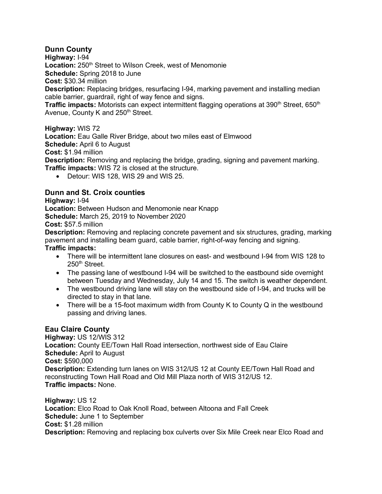# **Dunn County**

**Highway:** I-94

Location: 250<sup>th</sup> Street to Wilson Creek, west of Menomonie

**Schedule:** Spring 2018 to June

**Cost:** \$30.34 million

**Description:** Replacing bridges, resurfacing I-94, marking pavement and installing median cable barrier, guardrail, right of way fence and signs.

**Traffic impacts:** Motorists can expect intermittent flagging operations at 390<sup>th</sup> Street, 650<sup>th</sup> Avenue, County K and 250<sup>th</sup> Street.

#### **Highway:** WIS 72

**Location:** Eau Galle River Bridge, about two miles east of Elmwood

**Schedule:** April 6 to August

**Cost:** \$1.94 million

**Description:** Removing and replacing the bridge, grading, signing and pavement marking. **Traffic impacts:** WIS 72 is closed at the structure.

• Detour: WIS 128, WIS 29 and WIS 25.

# **Dunn and St. Croix counties**

**Highway:** I-94

**Location:** Between Hudson and Menomonie near Knapp **Schedule:** March 25, 2019 to November 2020 **Cost:** \$57.5 million

**Description:** Removing and replacing concrete pavement and six structures, grading, marking pavement and installing beam guard, cable barrier, right-of-way fencing and signing. **Traffic impacts:**

- There will be intermittent lane closures on east- and westbound I-94 from WIS 128 to 250<sup>th</sup> Street.
- The passing lane of westbound I-94 will be switched to the eastbound side overnight between Tuesday and Wednesday, July 14 and 15. The switch is weather dependent.
- The westbound driving lane will stay on the westbound side of I-94, and trucks will be directed to stay in that lane.
- There will be a 15-foot maximum width from County K to County Q in the westbound passing and driving lanes.

# **Eau Claire County**

**Highway:** US 12/WIS 312 **Location:** County EE/Town Hall Road intersection, northwest side of Eau Claire **Schedule:** April to August **Cost:** \$590,000 **Description:** Extending turn lanes on WIS 312/US 12 at County EE/Town Hall Road and reconstructing Town Hall Road and Old Mill Plaza north of WIS 312/US 12. **Traffic impacts:** None.

**Highway:** US 12 **Location:** Elco Road to Oak Knoll Road, between Altoona and Fall Creek **Schedule:** June 1 to September **Cost:** \$1.28 million **Description:** Removing and replacing box culverts over Six Mile Creek near Elco Road and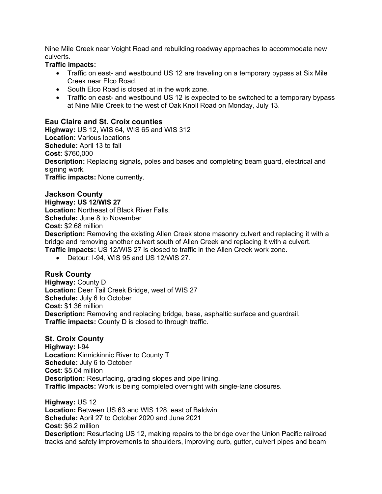Nine Mile Creek near Voight Road and rebuilding roadway approaches to accommodate new culverts.

#### **Traffic impacts:**

- Traffic on east- and westbound US 12 are traveling on a temporary bypass at Six Mile Creek near Elco Road.
- South Elco Road is closed at in the work zone.
- Traffic on east- and westbound US 12 is expected to be switched to a temporary bypass at Nine Mile Creek to the west of Oak Knoll Road on Monday, July 13.

#### **Eau Claire and St. Croix counties**

**Highway:** US 12, WIS 64, WIS 65 and WIS 312 **Location:** Various locations **Schedule:** April 13 to fall **Cost:** \$760,000 **Description:** Replacing signals, poles and bases and completing beam guard, electrical and signing work. **Traffic impacts:** None currently.

#### **Jackson County**

**Highway: US 12/WIS 27 Location:** Northeast of Black River Falls. **Schedule:** June 8 to November **Cost:** \$2.68 million

**Description:** Removing the existing Allen Creek stone masonry culvert and replacing it with a bridge and removing another culvert south of Allen Creek and replacing it with a culvert. **Traffic impacts:** US 12/WIS 27 is closed to traffic in the Allen Creek work zone.

• Detour: I-94, WIS 95 and US 12/WIS 27.

# **Rusk County**

**Highway:** County D **Location:** Deer Tail Creek Bridge, west of WIS 27 **Schedule:** July 6 to October **Cost:** \$1.36 million **Description:** Removing and replacing bridge, base, asphaltic surface and guardrail. **Traffic impacts:** County D is closed to through traffic.

#### **St. Croix County**

**Highway:** I-94 **Location:** Kinnickinnic River to County T **Schedule:** July 6 to October **Cost:** \$5.04 million **Description:** Resurfacing, grading slopes and pipe lining. **Traffic impacts:** Work is being completed overnight with single-lane closures.

**Highway:** US 12 **Location:** Between US 63 and WIS 128, east of Baldwin **Schedule:** April 27 to October 2020 and June 2021 **Cost:** \$6.2 million **Description:** Resurfacing US 12, making repairs to the bridge over the Union Pacific railroad tracks and safety improvements to shoulders, improving curb, gutter, culvert pipes and beam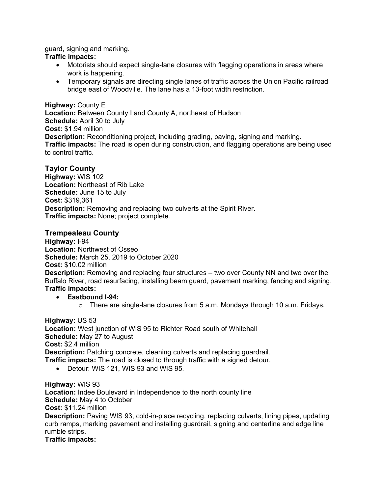guard, signing and marking.

#### **Traffic impacts:**

- Motorists should expect single-lane closures with flagging operations in areas where work is happening.
- Temporary signals are directing single lanes of traffic across the Union Pacific railroad bridge east of Woodville. The lane has a 13-foot width restriction.

**Highway:** County E **Location:** Between County I and County A, northeast of Hudson **Schedule:** April 30 to July **Cost:** \$1.94 million **Description:** Reconditioning project, including grading, paving, signing and marking. **Traffic impacts:** The road is open during construction, and flagging operations are being used to control traffic.

# **Taylor County**

**Highway:** WIS 102 **Location:** Northeast of Rib Lake **Schedule:** June 15 to July **Cost:** \$319,361 **Description:** Removing and replacing two culverts at the Spirit River. **Traffic impacts:** None; project complete.

# **Trempealeau County**

**Highway:** I-94 **Location:** Northwest of Osseo **Schedule:** March 25, 2019 to October 2020 **Cost:** \$10.02 million **Description:** Removing and replacing four structures – two over County NN and two over the Buffalo River, road resurfacing, installing beam guard, pavement marking, fencing and signing. **Traffic impacts:**

• **Eastbound I-94:** 

o There are single-lane closures from 5 a.m. Mondays through 10 a.m. Fridays.

**Highway:** US 53 **Location:** West junction of WIS 95 to Richter Road south of Whitehall **Schedule:** May 27 to August **Cost:** \$2.4 million **Description:** Patching concrete, cleaning culverts and replacing guardrail. **Traffic impacts:** The road is closed to through traffic with a signed detour.

• Detour: WIS 121, WIS 93 and WIS 95.

**Highway:** WIS 93 **Location:** Indee Boulevard in Independence to the north county line **Schedule:** May 4 to October **Cost:** \$11.24 million **Description:** Paving WIS 93, cold-in-place recycling, replacing culverts, lining pipes, updating curb ramps, marking pavement and installing guardrail, signing and centerline and edge line

rumble strips. **Traffic impacts:**